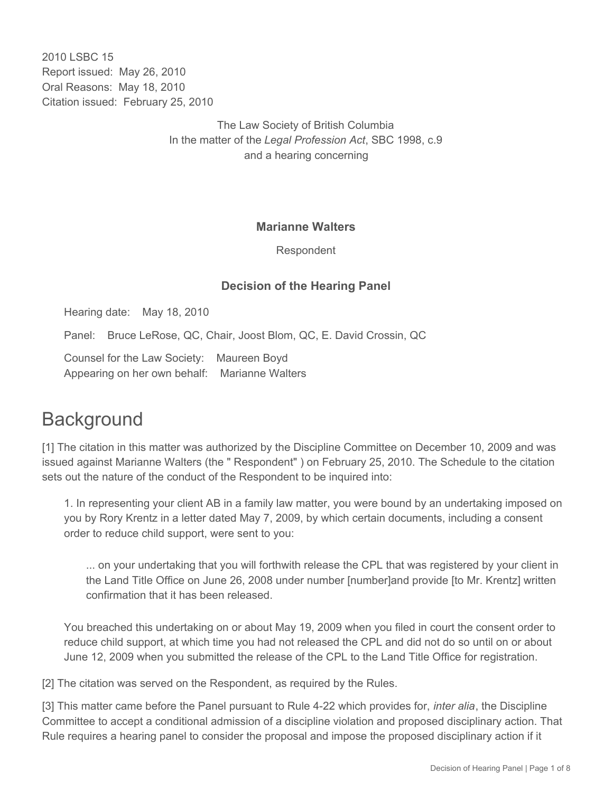2010 LSBC 15 Report issued: May 26, 2010 Oral Reasons: May 18, 2010 Citation issued: February 25, 2010

> The Law Society of British Columbia In the matter of the *Legal Profession Act*, SBC 1998, c.9 and a hearing concerning

#### **Marianne Walters**

Respondent

#### **Decision of the Hearing Panel**

Hearing date: May 18, 2010

Panel: Bruce LeRose, QC, Chair, Joost Blom, QC, E. David Crossin, QC

Counsel for the Law Society: Maureen Boyd Appearing on her own behalf: Marianne Walters

## **Background**

[1] The citation in this matter was authorized by the Discipline Committee on December 10, 2009 and was issued against Marianne Walters (the " Respondent" ) on February 25, 2010. The Schedule to the citation sets out the nature of the conduct of the Respondent to be inquired into:

1. In representing your client AB in a family law matter, you were bound by an undertaking imposed on you by Rory Krentz in a letter dated May 7, 2009, by which certain documents, including a consent order to reduce child support, were sent to you:

... on your undertaking that you will forthwith release the CPL that was registered by your client in the Land Title Office on June 26, 2008 under number [number]and provide [to Mr. Krentz] written confirmation that it has been released.

You breached this undertaking on or about May 19, 2009 when you filed in court the consent order to reduce child support, at which time you had not released the CPL and did not do so until on or about June 12, 2009 when you submitted the release of the CPL to the Land Title Office for registration.

[2] The citation was served on the Respondent, as required by the Rules.

[3] This matter came before the Panel pursuant to Rule 4-22 which provides for, *inter alia*, the Discipline Committee to accept a conditional admission of a discipline violation and proposed disciplinary action. That Rule requires a hearing panel to consider the proposal and impose the proposed disciplinary action if it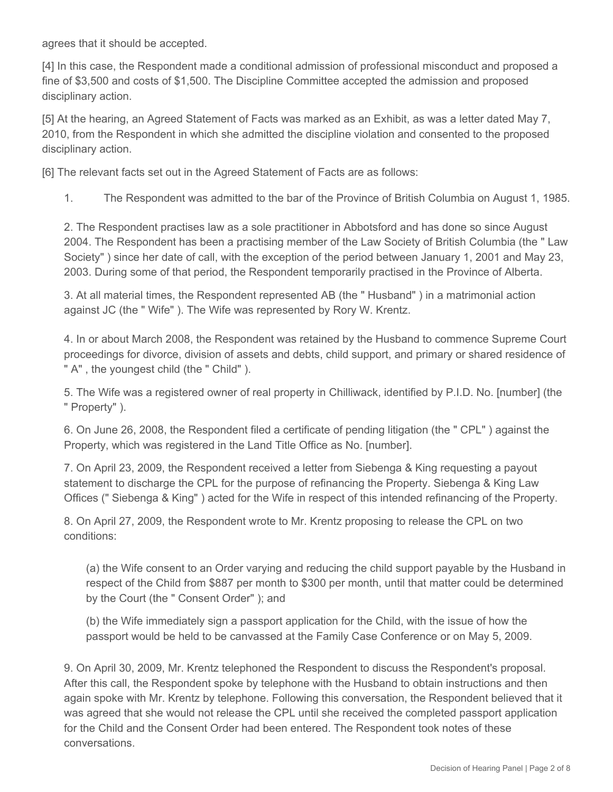agrees that it should be accepted.

[4] In this case, the Respondent made a conditional admission of professional misconduct and proposed a fine of \$3,500 and costs of \$1,500. The Discipline Committee accepted the admission and proposed disciplinary action.

[5] At the hearing, an Agreed Statement of Facts was marked as an Exhibit, as was a letter dated May 7, 2010, from the Respondent in which she admitted the discipline violation and consented to the proposed disciplinary action.

[6] The relevant facts set out in the Agreed Statement of Facts are as follows:

1. The Respondent was admitted to the bar of the Province of British Columbia on August 1, 1985.

2. The Respondent practises law as a sole practitioner in Abbotsford and has done so since August 2004. The Respondent has been a practising member of the Law Society of British Columbia (the " Law Society" ) since her date of call, with the exception of the period between January 1, 2001 and May 23, 2003. During some of that period, the Respondent temporarily practised in the Province of Alberta.

3. At all material times, the Respondent represented AB (the " Husband" ) in a matrimonial action against JC (the " Wife" ). The Wife was represented by Rory W. Krentz.

4. In or about March 2008, the Respondent was retained by the Husband to commence Supreme Court proceedings for divorce, division of assets and debts, child support, and primary or shared residence of " A" , the youngest child (the " Child" ).

5. The Wife was a registered owner of real property in Chilliwack, identified by P.I.D. No. [number] (the " Property" ).

6. On June 26, 2008, the Respondent filed a certificate of pending litigation (the " CPL" ) against the Property, which was registered in the Land Title Office as No. [number].

7. On April 23, 2009, the Respondent received a letter from Siebenga & King requesting a payout statement to discharge the CPL for the purpose of refinancing the Property. Siebenga & King Law Offices (" Siebenga & King" ) acted for the Wife in respect of this intended refinancing of the Property.

8. On April 27, 2009, the Respondent wrote to Mr. Krentz proposing to release the CPL on two conditions:

(a) the Wife consent to an Order varying and reducing the child support payable by the Husband in respect of the Child from \$887 per month to \$300 per month, until that matter could be determined by the Court (the " Consent Order" ); and

(b) the Wife immediately sign a passport application for the Child, with the issue of how the passport would be held to be canvassed at the Family Case Conference or on May 5, 2009.

9. On April 30, 2009, Mr. Krentz telephoned the Respondent to discuss the Respondent's proposal. After this call, the Respondent spoke by telephone with the Husband to obtain instructions and then again spoke with Mr. Krentz by telephone. Following this conversation, the Respondent believed that it was agreed that she would not release the CPL until she received the completed passport application for the Child and the Consent Order had been entered. The Respondent took notes of these conversations.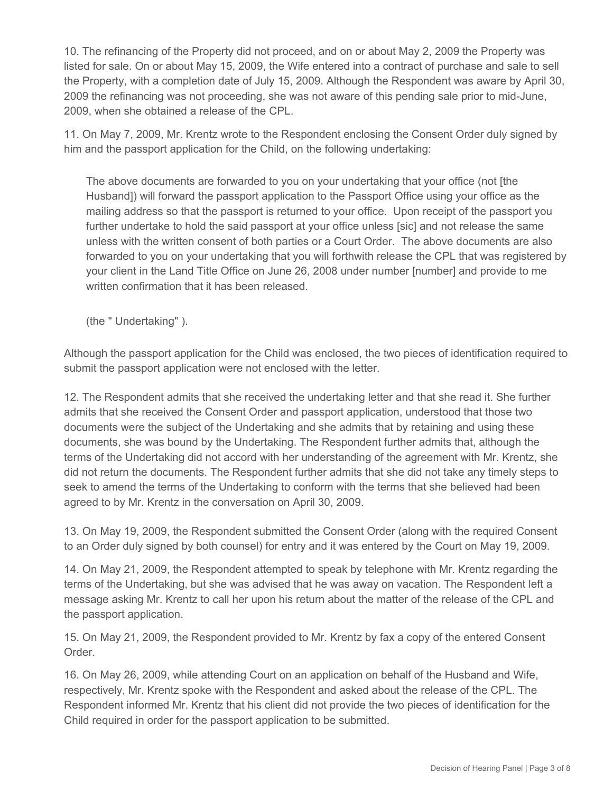10. The refinancing of the Property did not proceed, and on or about May 2, 2009 the Property was listed for sale. On or about May 15, 2009, the Wife entered into a contract of purchase and sale to sell the Property, with a completion date of July 15, 2009. Although the Respondent was aware by April 30, 2009 the refinancing was not proceeding, she was not aware of this pending sale prior to mid-June, 2009, when she obtained a release of the CPL.

11. On May 7, 2009, Mr. Krentz wrote to the Respondent enclosing the Consent Order duly signed by him and the passport application for the Child, on the following undertaking:

The above documents are forwarded to you on your undertaking that your office (not [the Husband]) will forward the passport application to the Passport Office using your office as the mailing address so that the passport is returned to your office. Upon receipt of the passport you further undertake to hold the said passport at your office unless [sic] and not release the same unless with the written consent of both parties or a Court Order. The above documents are also forwarded to you on your undertaking that you will forthwith release the CPL that was registered by your client in the Land Title Office on June 26, 2008 under number [number] and provide to me written confirmation that it has been released.

(the " Undertaking" ).

Although the passport application for the Child was enclosed, the two pieces of identification required to submit the passport application were not enclosed with the letter.

12. The Respondent admits that she received the undertaking letter and that she read it. She further admits that she received the Consent Order and passport application, understood that those two documents were the subject of the Undertaking and she admits that by retaining and using these documents, she was bound by the Undertaking. The Respondent further admits that, although the terms of the Undertaking did not accord with her understanding of the agreement with Mr. Krentz, she did not return the documents. The Respondent further admits that she did not take any timely steps to seek to amend the terms of the Undertaking to conform with the terms that she believed had been agreed to by Mr. Krentz in the conversation on April 30, 2009.

13. On May 19, 2009, the Respondent submitted the Consent Order (along with the required Consent to an Order duly signed by both counsel) for entry and it was entered by the Court on May 19, 2009.

14. On May 21, 2009, the Respondent attempted to speak by telephone with Mr. Krentz regarding the terms of the Undertaking, but she was advised that he was away on vacation. The Respondent left a message asking Mr. Krentz to call her upon his return about the matter of the release of the CPL and the passport application.

15. On May 21, 2009, the Respondent provided to Mr. Krentz by fax a copy of the entered Consent Order.

16. On May 26, 2009, while attending Court on an application on behalf of the Husband and Wife, respectively, Mr. Krentz spoke with the Respondent and asked about the release of the CPL. The Respondent informed Mr. Krentz that his client did not provide the two pieces of identification for the Child required in order for the passport application to be submitted.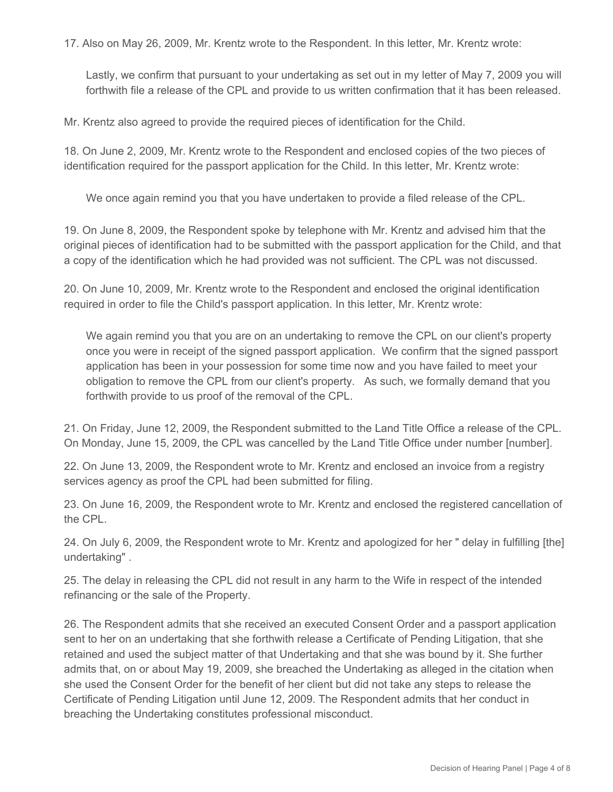17. Also on May 26, 2009, Mr. Krentz wrote to the Respondent. In this letter, Mr. Krentz wrote:

Lastly, we confirm that pursuant to your undertaking as set out in my letter of May 7, 2009 you will forthwith file a release of the CPL and provide to us written confirmation that it has been released.

Mr. Krentz also agreed to provide the required pieces of identification for the Child.

18. On June 2, 2009, Mr. Krentz wrote to the Respondent and enclosed copies of the two pieces of identification required for the passport application for the Child. In this letter, Mr. Krentz wrote:

We once again remind you that you have undertaken to provide a filed release of the CPL.

19. On June 8, 2009, the Respondent spoke by telephone with Mr. Krentz and advised him that the original pieces of identification had to be submitted with the passport application for the Child, and that a copy of the identification which he had provided was not sufficient. The CPL was not discussed.

20. On June 10, 2009, Mr. Krentz wrote to the Respondent and enclosed the original identification required in order to file the Child's passport application. In this letter, Mr. Krentz wrote:

We again remind you that you are on an undertaking to remove the CPL on our client's property once you were in receipt of the signed passport application. We confirm that the signed passport application has been in your possession for some time now and you have failed to meet your obligation to remove the CPL from our client's property. As such, we formally demand that you forthwith provide to us proof of the removal of the CPL.

21. On Friday, June 12, 2009, the Respondent submitted to the Land Title Office a release of the CPL. On Monday, June 15, 2009, the CPL was cancelled by the Land Title Office under number [number].

22. On June 13, 2009, the Respondent wrote to Mr. Krentz and enclosed an invoice from a registry services agency as proof the CPL had been submitted for filing.

23. On June 16, 2009, the Respondent wrote to Mr. Krentz and enclosed the registered cancellation of the CPL.

24. On July 6, 2009, the Respondent wrote to Mr. Krentz and apologized for her " delay in fulfilling [the] undertaking" .

25. The delay in releasing the CPL did not result in any harm to the Wife in respect of the intended refinancing or the sale of the Property.

26. The Respondent admits that she received an executed Consent Order and a passport application sent to her on an undertaking that she forthwith release a Certificate of Pending Litigation, that she retained and used the subject matter of that Undertaking and that she was bound by it. She further admits that, on or about May 19, 2009, she breached the Undertaking as alleged in the citation when she used the Consent Order for the benefit of her client but did not take any steps to release the Certificate of Pending Litigation until June 12, 2009. The Respondent admits that her conduct in breaching the Undertaking constitutes professional misconduct.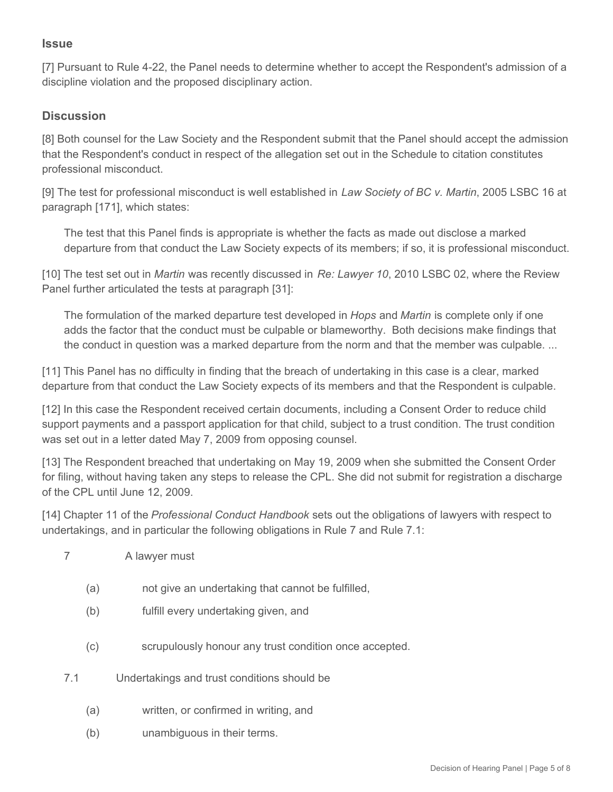#### **Issue**

[7] Pursuant to Rule 4-22, the Panel needs to determine whether to accept the Respondent's admission of a discipline violation and the proposed disciplinary action.

### **Discussion**

[8] Both counsel for the Law Society and the Respondent submit that the Panel should accept the admission that the Respondent's conduct in respect of the allegation set out in the Schedule to citation constitutes professional misconduct.

[9] The test for professional misconduct is well established in *Law Society of BC v. Martin*, 2005 LSBC 16 at paragraph [171], which states:

The test that this Panel finds is appropriate is whether the facts as made out disclose a marked departure from that conduct the Law Society expects of its members; if so, it is professional misconduct.

[10] The test set out in *Martin* was recently discussed in *Re: Lawyer 10*, 2010 LSBC 02, where the Review Panel further articulated the tests at paragraph [31]:

The formulation of the marked departure test developed in *Hops* and *Martin* is complete only if one adds the factor that the conduct must be culpable or blameworthy. Both decisions make findings that the conduct in question was a marked departure from the norm and that the member was culpable. ...

[11] This Panel has no difficulty in finding that the breach of undertaking in this case is a clear, marked departure from that conduct the Law Society expects of its members and that the Respondent is culpable.

[12] In this case the Respondent received certain documents, including a Consent Order to reduce child support payments and a passport application for that child, subject to a trust condition. The trust condition was set out in a letter dated May 7, 2009 from opposing counsel.

[13] The Respondent breached that undertaking on May 19, 2009 when she submitted the Consent Order for filing, without having taken any steps to release the CPL. She did not submit for registration a discharge of the CPL until June 12, 2009.

[14] Chapter 11 of the *Professional Conduct Handbook* sets out the obligations of lawyers with respect to undertakings, and in particular the following obligations in Rule 7 and Rule 7.1:

- 7 A lawyer must
	- (a) not give an undertaking that cannot be fulfilled,
	- (b) fulfill every undertaking given, and
	- (c) scrupulously honour any trust condition once accepted.
- 7.1 Undertakings and trust conditions should be
	- (a) written, or confirmed in writing, and
	- (b) unambiguous in their terms.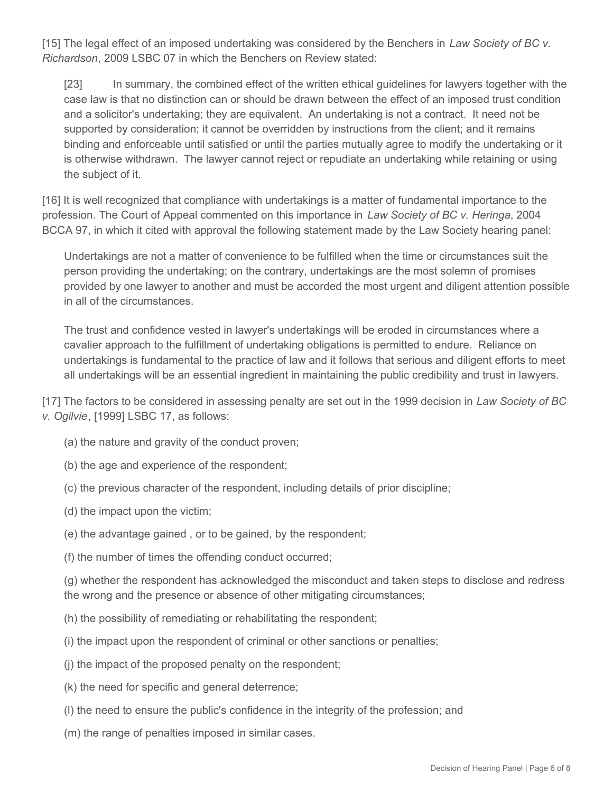[15] The legal effect of an imposed undertaking was considered by the Benchers in *Law Society of BC v. Richardson*, 2009 LSBC 07 in which the Benchers on Review stated:

[23] In summary, the combined effect of the written ethical guidelines for lawyers together with the case law is that no distinction can or should be drawn between the effect of an imposed trust condition and a solicitor's undertaking; they are equivalent. An undertaking is not a contract. It need not be supported by consideration; it cannot be overridden by instructions from the client; and it remains binding and enforceable until satisfied or until the parties mutually agree to modify the undertaking or it is otherwise withdrawn. The lawyer cannot reject or repudiate an undertaking while retaining or using the subject of it.

[16] It is well recognized that compliance with undertakings is a matter of fundamental importance to the profession. The Court of Appeal commented on this importance in *Law Society of BC v. Heringa*, 2004 BCCA 97, in which it cited with approval the following statement made by the Law Society hearing panel:

Undertakings are not a matter of convenience to be fulfilled when the time or circumstances suit the person providing the undertaking; on the contrary, undertakings are the most solemn of promises provided by one lawyer to another and must be accorded the most urgent and diligent attention possible in all of the circumstances.

The trust and confidence vested in lawyer's undertakings will be eroded in circumstances where a cavalier approach to the fulfillment of undertaking obligations is permitted to endure. Reliance on undertakings is fundamental to the practice of law and it follows that serious and diligent efforts to meet all undertakings will be an essential ingredient in maintaining the public credibility and trust in lawyers.

[17] The factors to be considered in assessing penalty are set out in the 1999 decision in *Law Society of BC v. Ogilvie*, [1999] LSBC 17, as follows:

- (a) the nature and gravity of the conduct proven;
- (b) the age and experience of the respondent;
- (c) the previous character of the respondent, including details of prior discipline;
- (d) the impact upon the victim;
- (e) the advantage gained , or to be gained, by the respondent;
- (f) the number of times the offending conduct occurred;

(g) whether the respondent has acknowledged the misconduct and taken steps to disclose and redress the wrong and the presence or absence of other mitigating circumstances;

- (h) the possibility of remediating or rehabilitating the respondent;
- (i) the impact upon the respondent of criminal or other sanctions or penalties;
- (j) the impact of the proposed penalty on the respondent;
- (k) the need for specific and general deterrence;
- (l) the need to ensure the public's confidence in the integrity of the profession; and
- (m) the range of penalties imposed in similar cases.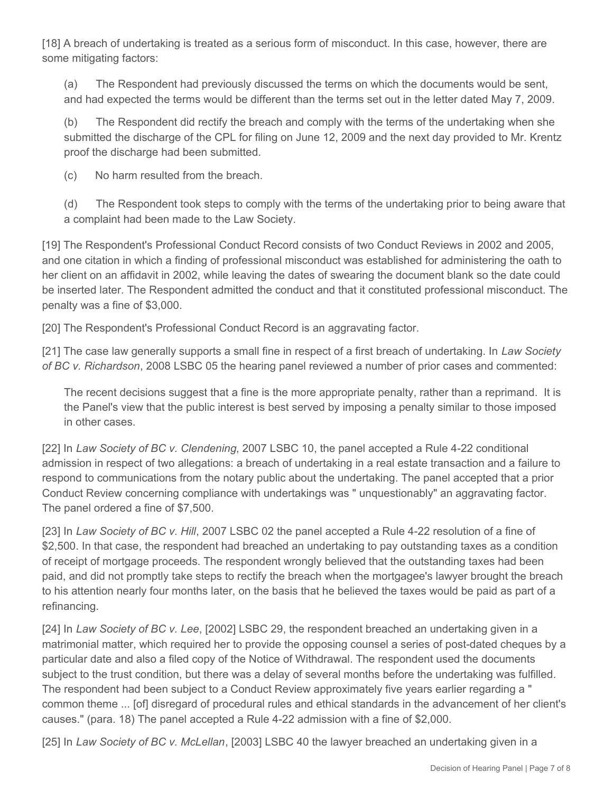[18] A breach of undertaking is treated as a serious form of misconduct. In this case, however, there are some mitigating factors:

(a) The Respondent had previously discussed the terms on which the documents would be sent, and had expected the terms would be different than the terms set out in the letter dated May 7, 2009.

(b) The Respondent did rectify the breach and comply with the terms of the undertaking when she submitted the discharge of the CPL for filing on June 12, 2009 and the next day provided to Mr. Krentz proof the discharge had been submitted.

(c) No harm resulted from the breach.

(d) The Respondent took steps to comply with the terms of the undertaking prior to being aware that a complaint had been made to the Law Society.

[19] The Respondent's Professional Conduct Record consists of two Conduct Reviews in 2002 and 2005, and one citation in which a finding of professional misconduct was established for administering the oath to her client on an affidavit in 2002, while leaving the dates of swearing the document blank so the date could be inserted later. The Respondent admitted the conduct and that it constituted professional misconduct. The penalty was a fine of \$3,000.

[20] The Respondent's Professional Conduct Record is an aggravating factor.

[21] The case law generally supports a small fine in respect of a first breach of undertaking. In *Law Society of BC v. Richardson*, 2008 LSBC 05 the hearing panel reviewed a number of prior cases and commented:

The recent decisions suggest that a fine is the more appropriate penalty, rather than a reprimand. It is the Panel's view that the public interest is best served by imposing a penalty similar to those imposed in other cases.

[22] In *Law Society of BC v. Clendening*, 2007 LSBC 10, the panel accepted a Rule 4-22 conditional admission in respect of two allegations: a breach of undertaking in a real estate transaction and a failure to respond to communications from the notary public about the undertaking. The panel accepted that a prior Conduct Review concerning compliance with undertakings was " unquestionably" an aggravating factor. The panel ordered a fine of \$7,500.

[23] In *Law Society of BC v. Hill*, 2007 LSBC 02 the panel accepted a Rule 4-22 resolution of a fine of \$2,500. In that case, the respondent had breached an undertaking to pay outstanding taxes as a condition of receipt of mortgage proceeds. The respondent wrongly believed that the outstanding taxes had been paid, and did not promptly take steps to rectify the breach when the mortgagee's lawyer brought the breach to his attention nearly four months later, on the basis that he believed the taxes would be paid as part of a refinancing.

[24] In *Law Society of BC v. Lee*, [2002] LSBC 29, the respondent breached an undertaking given in a matrimonial matter, which required her to provide the opposing counsel a series of post-dated cheques by a particular date and also a filed copy of the Notice of Withdrawal. The respondent used the documents subject to the trust condition, but there was a delay of several months before the undertaking was fulfilled. The respondent had been subject to a Conduct Review approximately five years earlier regarding a " common theme ... [of] disregard of procedural rules and ethical standards in the advancement of her client's causes." (para. 18) The panel accepted a Rule 4-22 admission with a fine of \$2,000.

[25] In *Law Society of BC v. McLellan*, [2003] LSBC 40 the lawyer breached an undertaking given in a